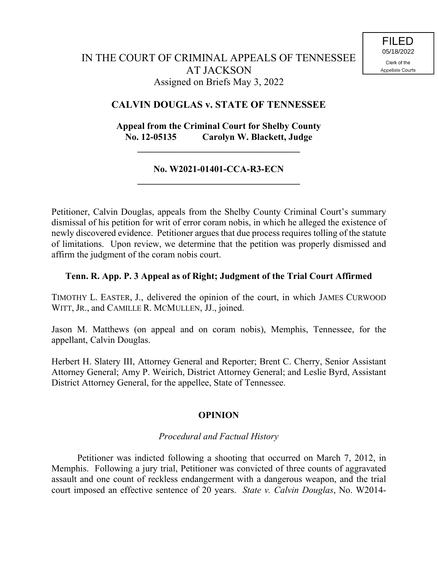# **CALVIN DOUGLAS v. STATE OF TENNESSEE**

# **Appeal from the Criminal Court for Shelby County No. 12-05135 Carolyn W. Blackett, Judge**

**\_\_\_\_\_\_\_\_\_\_\_\_\_\_\_\_\_\_\_\_\_\_\_\_\_\_\_\_\_\_\_\_\_\_\_**

### **No. W2021-01401-CCA-R3-ECN \_\_\_\_\_\_\_\_\_\_\_\_\_\_\_\_\_\_\_\_\_\_\_\_\_\_\_\_\_\_\_\_\_\_\_**

Petitioner, Calvin Douglas, appeals from the Shelby County Criminal Court's summary dismissal of his petition for writ of error coram nobis, in which he alleged the existence of newly discovered evidence. Petitioner argues that due process requires tolling of the statute of limitations. Upon review, we determine that the petition was properly dismissed and affirm the judgment of the coram nobis court.

### **Tenn. R. App. P. 3 Appeal as of Right; Judgment of the Trial Court Affirmed**

TIMOTHY L. EASTER, J., delivered the opinion of the court, in which JAMES CURWOOD WITT, JR., and CAMILLE R. MCMULLEN, JJ., joined.

Jason M. Matthews (on appeal and on coram nobis), Memphis, Tennessee, for the appellant, Calvin Douglas.

Herbert H. Slatery III, Attorney General and Reporter; Brent C. Cherry, Senior Assistant Attorney General; Amy P. Weirich, District Attorney General; and Leslie Byrd, Assistant District Attorney General, for the appellee, State of Tennessee.

## **OPINION**

## *Procedural and Factual History*

Petitioner was indicted following a shooting that occurred on March 7, 2012, in Memphis. Following a jury trial, Petitioner was convicted of three counts of aggravated assault and one count of reckless endangerment with a dangerous weapon, and the trial court imposed an effective sentence of 20 years. *State v. Calvin Douglas*, No. W2014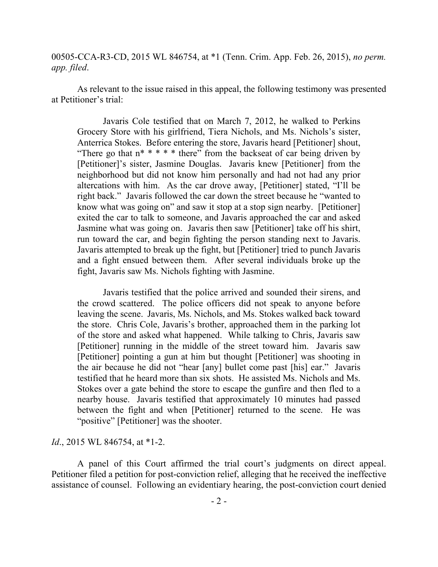00505-CCA-R3-CD, 2015 WL 846754, at \*1 (Tenn. Crim. App. Feb. 26, 2015), *no perm. app. filed*.

As relevant to the issue raised in this appeal, the following testimony was presented at Petitioner's trial:

Javaris Cole testified that on March 7, 2012, he walked to Perkins Grocery Store with his girlfriend, Tiera Nichols, and Ms. Nichols's sister, Anterrica Stokes. Before entering the store, Javaris heard [Petitioner] shout, "There go that  $n^* * * *$  there" from the backseat of car being driven by [Petitioner]'s sister, Jasmine Douglas. Javaris knew [Petitioner] from the neighborhood but did not know him personally and had not had any prior altercations with him. As the car drove away, [Petitioner] stated, "I'll be right back." Javaris followed the car down the street because he "wanted to know what was going on" and saw it stop at a stop sign nearby. [Petitioner] exited the car to talk to someone, and Javaris approached the car and asked Jasmine what was going on. Javaris then saw [Petitioner] take off his shirt, run toward the car, and begin fighting the person standing next to Javaris. Javaris attempted to break up the fight, but [Petitioner] tried to punch Javaris and a fight ensued between them. After several individuals broke up the fight, Javaris saw Ms. Nichols fighting with Jasmine.

Javaris testified that the police arrived and sounded their sirens, and the crowd scattered. The police officers did not speak to anyone before leaving the scene. Javaris, Ms. Nichols, and Ms. Stokes walked back toward the store. Chris Cole, Javaris's brother, approached them in the parking lot of the store and asked what happened. While talking to Chris, Javaris saw [Petitioner] running in the middle of the street toward him. Javaris saw [Petitioner] pointing a gun at him but thought [Petitioner] was shooting in the air because he did not "hear [any] bullet come past [his] ear." Javaris testified that he heard more than six shots. He assisted Ms. Nichols and Ms. Stokes over a gate behind the store to escape the gunfire and then fled to a nearby house. Javaris testified that approximately 10 minutes had passed between the fight and when [Petitioner] returned to the scene. He was "positive" [Petitioner] was the shooter.

#### *Id*., 2015 WL 846754, at \*1-2.

A panel of this Court affirmed the trial court's judgments on direct appeal. Petitioner filed a petition for post-conviction relief, alleging that he received the ineffective assistance of counsel. Following an evidentiary hearing, the post-conviction court denied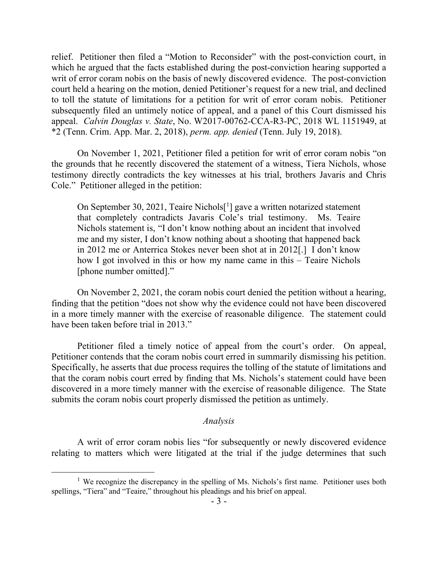relief. Petitioner then filed a "Motion to Reconsider" with the post-conviction court, in which he argued that the facts established during the post-conviction hearing supported a writ of error coram nobis on the basis of newly discovered evidence. The post-conviction court held a hearing on the motion, denied Petitioner's request for a new trial, and declined to toll the statute of limitations for a petition for writ of error coram nobis. Petitioner subsequently filed an untimely notice of appeal, and a panel of this Court dismissed his appeal. *Calvin Douglas v. State*, No. W2017-00762-CCA-R3-PC, 2018 WL 1151949, at \*2 (Tenn. Crim. App. Mar. 2, 2018), *perm. app. denied* (Tenn. July 19, 2018).

On November 1, 2021, Petitioner filed a petition for writ of error coram nobis "on the grounds that he recently discovered the statement of a witness, Tiera Nichols, whose testimony directly contradicts the key witnesses at his trial, brothers Javaris and Chris Cole." Petitioner alleged in the petition:

On September 30, 2021, Teaire Nichols[ 1 ] gave a written notarized statement that completely contradicts Javaris Cole's trial testimony. Ms. Teaire Nichols statement is, "I don't know nothing about an incident that involved me and my sister, I don't know nothing about a shooting that happened back in 2012 me or Anterrica Stokes never been shot at in 2012[.] I don't know how I got involved in this or how my name came in this – Teaire Nichols [phone number omitted]."

On November 2, 2021, the coram nobis court denied the petition without a hearing, finding that the petition "does not show why the evidence could not have been discovered in a more timely manner with the exercise of reasonable diligence. The statement could have been taken before trial in 2013."

Petitioner filed a timely notice of appeal from the court's order. On appeal, Petitioner contends that the coram nobis court erred in summarily dismissing his petition. Specifically, he asserts that due process requires the tolling of the statute of limitations and that the coram nobis court erred by finding that Ms. Nichols's statement could have been discovered in a more timely manner with the exercise of reasonable diligence. The State submits the coram nobis court properly dismissed the petition as untimely.

### *Analysis*

A writ of error coram nobis lies "for subsequently or newly discovered evidence relating to matters which were litigated at the trial if the judge determines that such

 $\overline{a}$ 

<sup>&</sup>lt;sup>1</sup> We recognize the discrepancy in the spelling of Ms. Nichols's first name. Petitioner uses both spellings, "Tiera" and "Teaire," throughout his pleadings and his brief on appeal.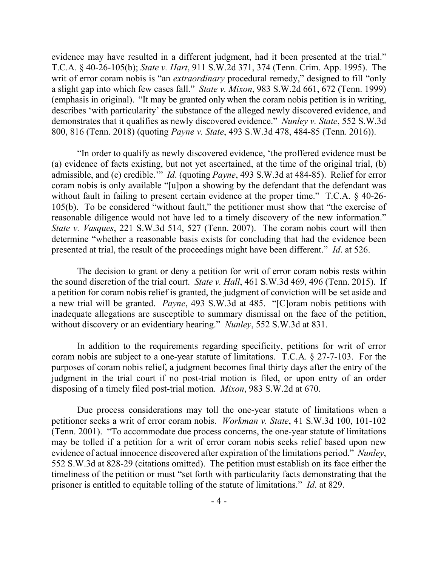evidence may have resulted in a different judgment, had it been presented at the trial." T.C.A. § 40-26-105(b); *State v. Hart*, 911 S.W.2d 371, 374 (Tenn. Crim. App. 1995). The writ of error coram nobis is "an *extraordinary* procedural remedy," designed to fill "only a slight gap into which few cases fall." *State v. Mixon*, 983 S.W.2d 661, 672 (Tenn. 1999) (emphasis in original). "It may be granted only when the coram nobis petition is in writing, describes 'with particularity' the substance of the alleged newly discovered evidence, and demonstrates that it qualifies as newly discovered evidence." *Nunley v. State*, 552 S.W.3d 800, 816 (Tenn. 2018) (quoting *Payne v. State*, 493 S.W.3d 478, 484-85 (Tenn. 2016)).

"In order to qualify as newly discovered evidence, 'the proffered evidence must be (a) evidence of facts existing, but not yet ascertained, at the time of the original trial, (b) admissible, and (c) credible.'" *Id*. (quoting *Payne*, 493 S.W.3d at 484-85). Relief for error coram nobis is only available "[u]pon a showing by the defendant that the defendant was without fault in failing to present certain evidence at the proper time." T.C.A. § 40-26- 105(b). To be considered "without fault," the petitioner must show that "the exercise of reasonable diligence would not have led to a timely discovery of the new information." *State v. Vasques*, 221 S.W.3d 514, 527 (Tenn. 2007). The coram nobis court will then determine "whether a reasonable basis exists for concluding that had the evidence been presented at trial, the result of the proceedings might have been different." *Id*. at 526.

The decision to grant or deny a petition for writ of error coram nobis rests within the sound discretion of the trial court. *State v. Hall*, 461 S.W.3d 469, 496 (Tenn. 2015). If a petition for coram nobis relief is granted, the judgment of conviction will be set aside and a new trial will be granted. *Payne*, 493 S.W.3d at 485. "[C]oram nobis petitions with inadequate allegations are susceptible to summary dismissal on the face of the petition, without discovery or an evidentiary hearing." *Nunley*, 552 S.W.3d at 831.

In addition to the requirements regarding specificity, petitions for writ of error coram nobis are subject to a one-year statute of limitations. T.C.A. § 27-7-103. For the purposes of coram nobis relief, a judgment becomes final thirty days after the entry of the judgment in the trial court if no post-trial motion is filed, or upon entry of an order disposing of a timely filed post-trial motion. *Mixon*, 983 S.W.2d at 670.

Due process considerations may toll the one-year statute of limitations when a petitioner seeks a writ of error coram nobis. *Workman v. State*, 41 S.W.3d 100, 101-102 (Tenn. 2001). "To accommodate due process concerns, the one-year statute of limitations may be tolled if a petition for a writ of error coram nobis seeks relief based upon new evidence of actual innocence discovered after expiration of the limitations period." *Nunley*, 552 S.W.3d at 828-29 (citations omitted). The petition must establish on its face either the timeliness of the petition or must "set forth with particularity facts demonstrating that the prisoner is entitled to equitable tolling of the statute of limitations." *Id*. at 829.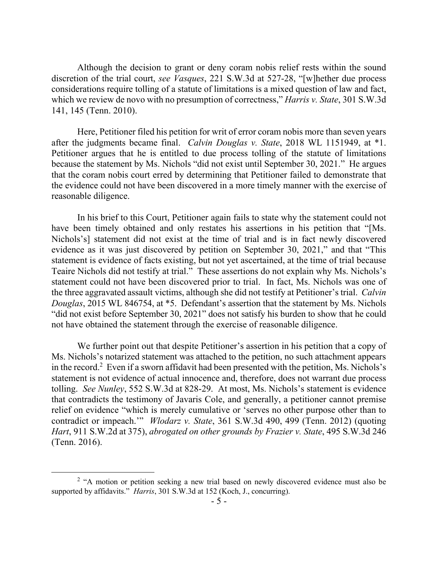Although the decision to grant or deny coram nobis relief rests within the sound discretion of the trial court, *see Vasques*, 221 S.W.3d at 527-28, "[w]hether due process considerations require tolling of a statute of limitations is a mixed question of law and fact, which we review de novo with no presumption of correctness," *Harris v. State*, 301 S.W.3d 141, 145 (Tenn. 2010).

Here, Petitioner filed his petition for writ of error coram nobis more than seven years after the judgments became final. *Calvin Douglas v. State*, 2018 WL 1151949, at \*1. Petitioner argues that he is entitled to due process tolling of the statute of limitations because the statement by Ms. Nichols "did not exist until September 30, 2021." He argues that the coram nobis court erred by determining that Petitioner failed to demonstrate that the evidence could not have been discovered in a more timely manner with the exercise of reasonable diligence.

In his brief to this Court, Petitioner again fails to state why the statement could not have been timely obtained and only restates his assertions in his petition that "[Ms. Nichols's] statement did not exist at the time of trial and is in fact newly discovered evidence as it was just discovered by petition on September 30, 2021," and that "This statement is evidence of facts existing, but not yet ascertained, at the time of trial because Teaire Nichols did not testify at trial." These assertions do not explain why Ms. Nichols's statement could not have been discovered prior to trial. In fact, Ms. Nichols was one of the three aggravated assault victims, although she did not testify at Petitioner's trial. *Calvin Douglas*, 2015 WL 846754, at \*5. Defendant's assertion that the statement by Ms. Nichols "did not exist before September 30, 2021" does not satisfy his burden to show that he could not have obtained the statement through the exercise of reasonable diligence.

We further point out that despite Petitioner's assertion in his petition that a copy of Ms. Nichols's notarized statement was attached to the petition, no such attachment appears in the record.<sup>2</sup> Even if a sworn affidavit had been presented with the petition, Ms. Nichols's statement is not evidence of actual innocence and, therefore, does not warrant due process tolling. *See Nunley*, 552 S.W.3d at 828-29. At most, Ms. Nichols's statement is evidence that contradicts the testimony of Javaris Cole, and generally, a petitioner cannot premise relief on evidence "which is merely cumulative or 'serves no other purpose other than to contradict or impeach.'" *Wlodarz v. State*, 361 S.W.3d 490, 499 (Tenn. 2012) (quoting *Hart*, 911 S.W.2d at 375), *abrogated on other grounds by Frazier v. State*, 495 S.W.3d 246 (Tenn. 2016).

 $\overline{a}$ 

 $2$  "A motion or petition seeking a new trial based on newly discovered evidence must also be supported by affidavits." *Harris*, 301 S.W.3d at 152 (Koch, J., concurring).